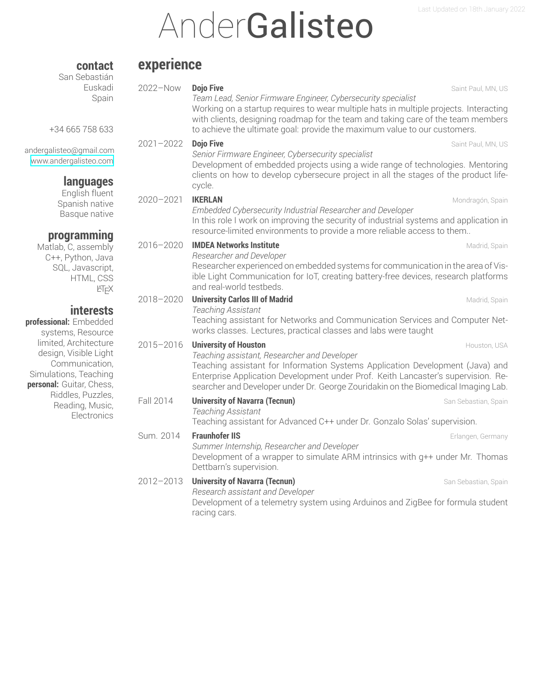# **AnderGalisteo**

### **experience**

**contact** San Sebastián

| Euskadi<br>Spain<br>+34 665 758 633                                                                                   | 2022-Now      | <b>Dojo Five</b><br>Team Lead, Senior Firmware Engineer, Cybersecurity specialist<br>Working on a startup requires to wear multiple hats in multiple projects. Interacting<br>with clients, designing roadmap for the team and taking care of the team members<br>to achieve the ultimate goal: provide the maximum value to our customers. | Saint Paul, MN, US   |
|-----------------------------------------------------------------------------------------------------------------------|---------------|---------------------------------------------------------------------------------------------------------------------------------------------------------------------------------------------------------------------------------------------------------------------------------------------------------------------------------------------|----------------------|
| andergalisteo@gmail.com<br>www.andergalisteo.com<br>languages                                                         | $2021 - 2022$ | <b>Dojo Five</b><br>Senior Firmware Engineer, Cybersecurity specialist<br>Development of embedded projects using a wide range of technologies. Mentoring<br>clients on how to develop cybersecure project in all the stages of the product life-<br>cycle.                                                                                  | Saint Paul, MN, US   |
| English fluent<br>Spanish native<br>Basque native<br>programming                                                      | $2020 - 2021$ | <b>IKERLAN</b><br>Embedded Cybersecurity Industrial Researcher and Developer<br>In this role I work on improving the security of industrial systems and application in<br>resource-limited environments to provide a more reliable access to them                                                                                           | Mondragón, Spain     |
| Matlab, C, assembly<br>C++, Python, Java<br>SQL, Javascript,<br>HTML, CSS<br>KTEX                                     | 2016-2020     | <b>IMDEA Networks Institute</b><br>Researcher and Developer<br>Researcher experienced on embedded systems for communication in the area of Vis-<br>ible Light Communication for IoT, creating battery-free devices, research platforms<br>and real-world testbeds.                                                                          | Madrid, Spain        |
| <b>interests</b><br>professional: Embedded<br>systems, Resource                                                       | 2018-2020     | <b>University Carlos III of Madrid</b><br>Teaching Assistant<br>Teaching assistant for Networks and Communication Services and Computer Net-<br>works classes. Lectures, practical classes and labs were taught                                                                                                                             | Madrid, Spain        |
| limited, Architecture<br>design, Visible Light<br>Communication,<br>Simulations, Teaching<br>personal: Guitar, Chess, | $2015 - 2016$ | <b>University of Houston</b><br>Teaching assistant, Researcher and Developer<br>Teaching assistant for Information Systems Application Development (Java) and<br>Enterprise Application Development under Prof. Keith Lancaster's supervision. Re-<br>searcher and Developer under Dr. George Zouridakin on the Biomedical Imaging Lab.     | Houston, USA         |
| Riddles, Puzzles,<br>Reading, Music,<br>Electronics                                                                   | Fall 2014     | <b>University of Navarra (Tecnun)</b><br>Teaching Assistant<br>Teaching assistant for Advanced C++ under Dr. Gonzalo Solas' supervision.                                                                                                                                                                                                    | San Sebastian, Spain |
|                                                                                                                       | Sum. 2014     | <b>Fraunhofer IIS</b><br>Summer Internship, Researcher and Developer<br>Development of a wrapper to simulate ARM intrinsics with g++ under Mr. Thomas<br>Dettbarn's supervision.                                                                                                                                                            | Erlangen, Germany    |
|                                                                                                                       | $2012 - 2013$ | <b>University of Navarra (Tecnun)</b><br>Research assistant and Developer<br>Development of a telemetry system using Arduinos and ZigBee for formula student<br>racing cars.                                                                                                                                                                | San Sebastian, Spain |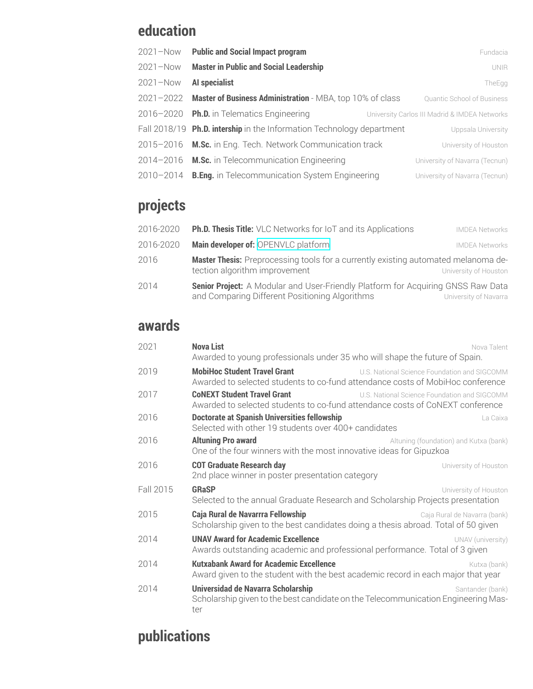#### **education**

| $2021 - Now$  | <b>Public and Social Impact program</b>                               | Fundacia                                      |
|---------------|-----------------------------------------------------------------------|-----------------------------------------------|
| $2021 - Now$  | <b>Master in Public and Social Leadership</b>                         | <b>UNIR</b>                                   |
| $2021 - Now$  | Al specialist                                                         | TheEgg                                        |
| $2021 - 2022$ | Master of Business Administration - MBA, top 10% of class             | <b>Quantic School of Business</b>             |
|               | 2016-2020 Ph.D. in Telematics Engineering                             | University Carlos III Madrid & IMDEA Networks |
|               | Fall 2018/19 Ph.D. intership in the Information Technology department | Uppsala University                            |
|               | 2015-2016 M.Sc. in Eng. Tech. Network Communication track             | University of Houston                         |
|               | 2014-2016 M.Sc. in Telecommunication Engineering                      | University of Navarra (Tecnun)                |
| $2010 - 2014$ | <b>B.Eng.</b> in Telecommunication System Engineering                 | University of Navarra (Tecnun)                |

# **projects**

| 2016-2020 | <b>Ph.D. Thesis Title:</b> VLC Networks for IoT and its Applications                                                               | <b>IMDEA Networks</b> |
|-----------|------------------------------------------------------------------------------------------------------------------------------------|-----------------------|
| 2016-2020 | Main developer of: OPENVLC platform                                                                                                | <b>IMDEA Networks</b> |
| 2016      | <b>Master Thesis:</b> Preprocessing tools for a currently existing automated melanoma de-<br>tection algorithm improvement         | University of Houston |
| 2014      | Senior Project: A Modular and User-Friendly Platform for Acquiring GNSS Raw Data<br>and Comparing Different Positioning Algorithms | University of Navarra |

#### **awards**

| 2021      | <b>Nova List</b><br>Nova Talent<br>Awarded to young professionals under 35 who will shape the future of Spain.                                                        |
|-----------|-----------------------------------------------------------------------------------------------------------------------------------------------------------------------|
| 2019      | <b>MobiHoc Student Travel Grant</b><br>U.S. National Science Foundation and SIGCOMM<br>Awarded to selected students to co-fund attendance costs of MobiHoc conference |
| 2017      | <b>CoNEXT Student Travel Grant</b><br>U.S. National Science Foundation and SIGCOMM<br>Awarded to selected students to co-fund attendance costs of CoNEXT conference   |
| 2016      | <b>Doctorate at Spanish Universities fellowship</b><br>La Caixa<br>Selected with other 19 students over 400+ candidates                                               |
| 2016      | <b>Altuning Pro award</b><br>Altuning (foundation) and Kutxa (bank)<br>One of the four winners with the most innovative ideas for Gipuzkoa                            |
| 2016      | <b>COT Graduate Research day</b><br>University of Houston<br>2nd place winner in poster presentation category                                                         |
| Fall 2015 | <b>GRaSP</b><br>University of Houston<br>Selected to the annual Graduate Research and Scholarship Projects presentation                                               |
| 2015      | Caja Rural de Navarrra Fellowship<br>Caja Rural de Navarra (bank)<br>Scholarship given to the best candidates doing a thesis abroad. Total of 50 given                |
| 2014      | <b>UNAV Award for Academic Excellence</b><br>UNAV (university)<br>Awards outstanding academic and professional performance. Total of 3 given                          |
| 2014      | <b>Kutxabank Award for Academic Excellence</b><br>Kutxa (bank)<br>Award given to the student with the best academic record in each major that year                    |
| 2014      | Universidad de Navarra Scholarship<br>Santander (bank)<br>Scholarship given to the best candidate on the Telecommunication Engineering Mas-<br>ter                    |

# **publications**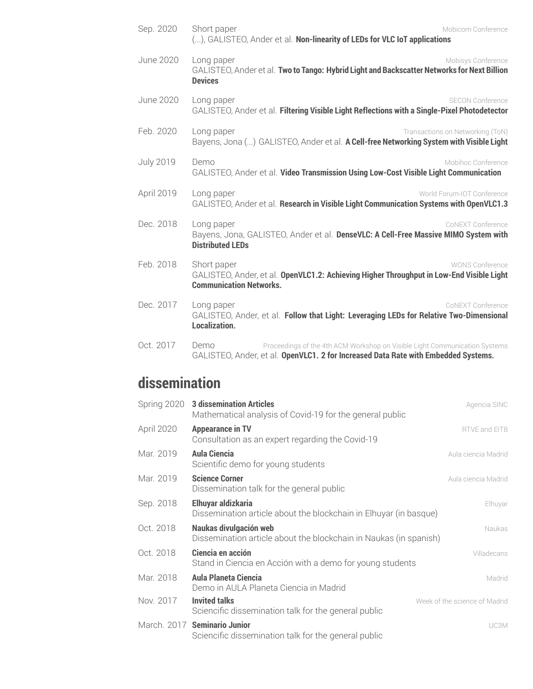| Sep. 2020        | Short paper<br>Mobicom Conference<br>(), GALISTEO, Ander et al. Non-linearity of LEDs for VLC IoT applications                                                           |
|------------------|--------------------------------------------------------------------------------------------------------------------------------------------------------------------------|
| <b>June 2020</b> | Long paper<br>Mobisys Conference<br>GALISTEO, Ander et al. Two to Tango: Hybrid Light and Backscatter Networks for Next Billion<br><b>Devices</b>                        |
| June 2020        | Long paper<br><b>SECON Conference</b><br>GALISTEO, Ander et al. Filtering Visible Light Reflections with a Single-Pixel Photodetector                                    |
| Feb. 2020        | Long paper<br>Transactions on Networking (ToN)<br>Bayens, Jona () GALISTEO, Ander et al. A Cell-free Networking System with Visible Light                                |
| <b>July 2019</b> | Demo<br>Mobihoc Conference<br>GALISTEO, Ander et al. Video Transmission Using Low-Cost Visible Light Communication                                                       |
| April 2019       | World Forum-IOT Conference<br>Long paper<br>GALISTEO, Ander et al. Research in Visible Light Communication Systems with OpenVLC1.3                                       |
| Dec. 2018        | Long paper<br>CoNEXT Conference<br>Bayens, Jona, GALISTEO, Ander et al. DenseVLC: A Cell-Free Massive MIMO System with<br><b>Distributed LEDs</b>                        |
| Feb. 2018        | Short paper<br><b>WONS Conference</b><br>GALISTEO, Ander, et al. OpenVLC1.2: Achieving Higher Throughput in Low-End Visible Light<br><b>Communication Networks.</b>      |
| Dec. 2017        | Long paper<br>CoNEXT Conference<br>GALISTEO, Ander, et al. Follow that Light: Leveraging LEDs for Relative Two-Dimensional<br><b>Localization.</b>                       |
| Oct. 2017        | Demo<br>Proceedings of the 4th ACM Workshop on Visible Light Communication Systems<br>GALISTEO, Ander, et al. OpenVLC1. 2 for Increased Data Rate with Embedded Systems. |

# **dissemination**

| Spring 2020 | <b>3 dissemination Articles</b><br>Mathematical analysis of Covid-19 for the general public | Agencia SINC                  |
|-------------|---------------------------------------------------------------------------------------------|-------------------------------|
| April 2020  | <b>Appearance in TV</b><br>Consultation as an expert regarding the Covid-19                 | RTVE and EITB                 |
| Mar. 2019   | <b>Aula Ciencia</b><br>Scientific demo for young students                                   | Aula ciencia Madrid           |
| Mar. 2019   | <b>Science Corner</b><br>Dissemination talk for the general public                          | Aula ciencia Madrid           |
| Sep. 2018   | Elhuyar aldizkaria<br>Dissemination article about the blockchain in Elhuyar (in basque)     | Elhuyar                       |
| Oct. 2018   | Naukas divulgación web<br>Dissemination article about the blockchain in Naukas (in spanish) | Naukas                        |
| Oct. 2018   | Ciencia en acción<br>Stand in Ciencia en Acción with a demo for young students              | Villadecans                   |
| Mar. 2018   | <b>Aula Planeta Ciencia</b><br>Demo in AULA Planeta Ciencia in Madrid                       | Madrid                        |
| Nov. 2017   | <b>Invited talks</b><br>Sciencific dissemination talk for the general public                | Week of the science of Madrid |
|             | March. 2017 Seminario Junior<br>Sciencific dissemination talk for the general public        | UC3M                          |